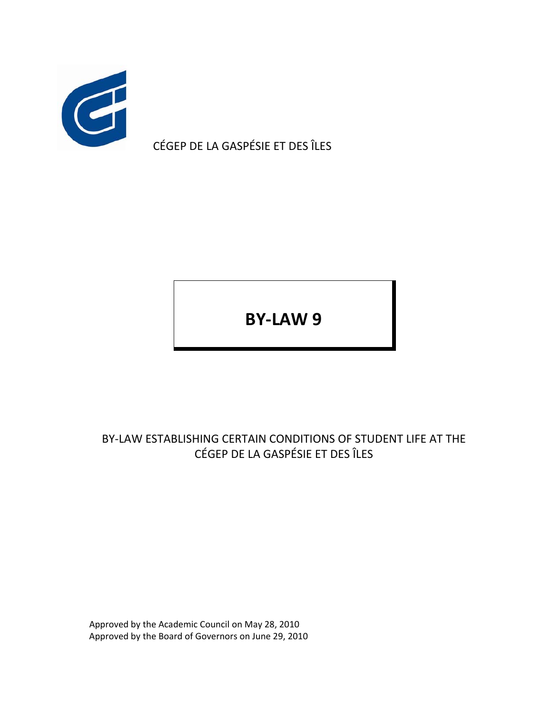

CÉGEP DE LA GASPÉSIE ET DES ÎLES

**BY‐LAW 9**

BY‐LAW ESTABLISHING CERTAIN CONDITIONS OF STUDENT LIFE AT THE CÉGEP DE LA GASPÉSIE ET DES ÎLES

Approved by the Academic Council on May 28, 2010 Approved by the Board of Governors on June 29, 2010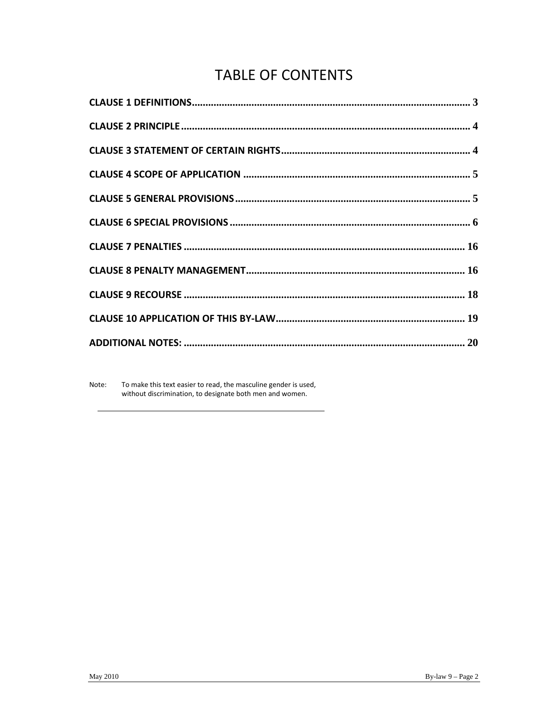# **TABLE OF CONTENTS**

Note: To make this text easier to read, the masculine gender is used, without discrimination, to designate both men and women.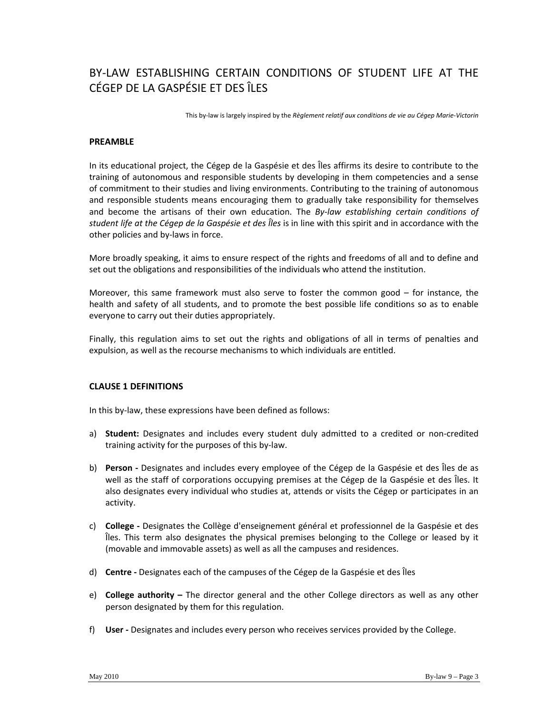# BY‐LAW ESTABLISHING CERTAIN CONDITIONS OF STUDENT LIFE AT THE CÉGEP DE LA GASPÉSIE ET DES ÎLES

This by‐law is largely inspired by the *Règlement relatif aux conditions de vie au Cégep Marie‐Victorin*

# **PREAMBLE**

In its educational project, the Cégep de la Gaspésie et des Îles affirms its desire to contribute to the training of autonomous and responsible students by developing in them competencies and a sense of commitment to their studies and living environments. Contributing to the training of autonomous and responsible students means encouraging them to gradually take responsibility for themselves and become the artisans of their own education. The *By‐law establishing certain conditions of student life at the Cégep de la Gaspésie et des Îles* is in line with this spirit and in accordance with the other policies and by‐laws in force.

More broadly speaking, it aims to ensure respect of the rights and freedoms of all and to define and set out the obligations and responsibilities of the individuals who attend the institution.

Moreover, this same framework must also serve to foster the common good – for instance, the health and safety of all students, and to promote the best possible life conditions so as to enable everyone to carry out their duties appropriately.

Finally, this regulation aims to set out the rights and obligations of all in terms of penalties and expulsion, as well as the recourse mechanisms to which individuals are entitled.

# **CLAUSE 1 DEFINITIONS**

In this by‐law, these expressions have been defined as follows:

- a) **Student:** Designates and includes every student duly admitted to a credited or non‐credited training activity for the purposes of this by‐law.
- b) **Person ‐** Designates and includes every employee of the Cégep de la Gaspésie et des Îles de as well as the staff of corporations occupying premises at the Cégep de la Gaspésie et des Îles. It also designates every individual who studies at, attends or visits the Cégep or participates in an activity.
- c) **College ‐** Designates the Collège d'enseignement général et professionnel de la Gaspésie et des Îles. This term also designates the physical premises belonging to the College or leased by it (movable and immovable assets) as well as all the campuses and residences.
- d) **Centre ‐** Designates each of the campuses of the Cégep de la Gaspésie et des Îles
- e) **College authority –** The director general and the other College directors as well as any other person designated by them for this regulation.
- f) User Designates and includes every person who receives services provided by the College.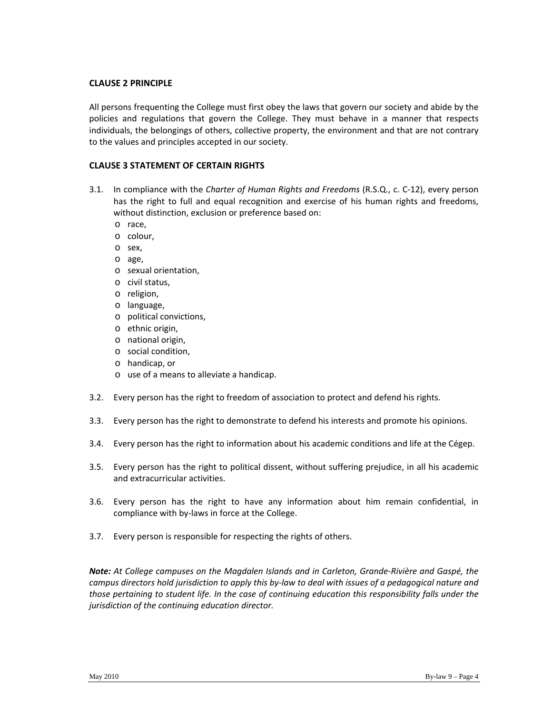# **CLAUSE 2 PRINCIPLE**

All persons frequenting the College must first obey the laws that govern our society and abide by the policies and regulations that govern the College. They must behave in a manner that respects individuals, the belongings of others, collective property, the environment and that are not contrary to the values and principles accepted in our society.

# **CLAUSE 3 STATEMENT OF CERTAIN RIGHTS**

- 3.1. In compliance with the *Charter of Human Rights and Freedoms* (R.S.Q., c. C‐12), every person has the right to full and equal recognition and exercise of his human rights and freedoms, without distinction, exclusion or preference based on:
	- o race,
	- o colour,
	- o sex,
	- o age,
	- o sexual orientation,
	- o civil status,
	- o religion,
	- o language,
	- o political convictions,
	- o ethnic origin,
	- o national origin,
	- o social condition,
	- o handicap, or
	- o use of a means to alleviate a handicap.
- 3.2. Every person has the right to freedom of association to protect and defend his rights.
- 3.3. Every person has the right to demonstrate to defend his interests and promote his opinions.
- 3.4. Every person has the right to information about his academic conditions and life at the Cégep.
- 3.5. Every person has the right to political dissent, without suffering prejudice, in all his academic and extracurricular activities.
- 3.6. Every person has the right to have any information about him remain confidential, in compliance with by‐laws in force at the College.
- 3.7. Every person is responsible for respecting the rights of others.

*Note: At College campuses on the Magdalen Islands and in Carleton, Grande‐Rivière and Gaspé, the* campus directors hold jurisdiction to apply this by-law to deal with issues of a pedagogical nature and *those pertaining to student life. In the case of continuing education this responsibility falls under the jurisdiction of the continuing education director.*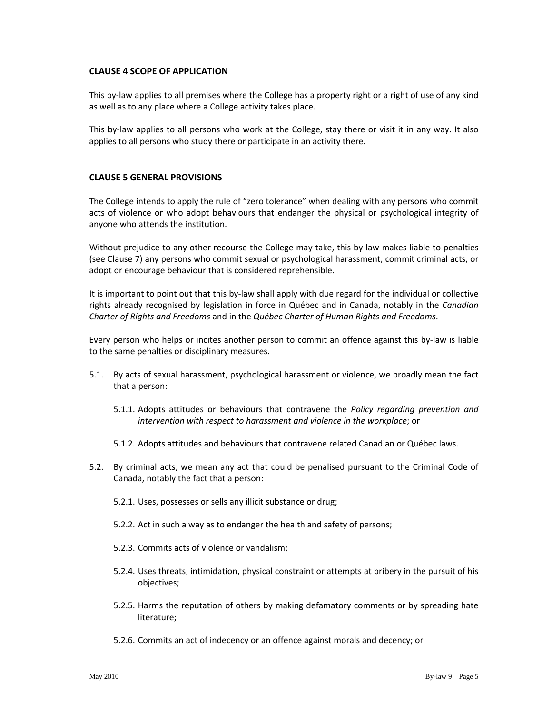# **CLAUSE 4 SCOPE OF APPLICATION**

This by-law applies to all premises where the College has a property right or a right of use of any kind as well as to any place where a College activity takes place.

This by-law applies to all persons who work at the College, stay there or visit it in any way. It also applies to all persons who study there or participate in an activity there.

# **CLAUSE 5 GENERAL PROVISIONS**

The College intends to apply the rule of "zero tolerance" when dealing with any persons who commit acts of violence or who adopt behaviours that endanger the physical or psychological integrity of anyone who attends the institution.

Without prejudice to any other recourse the College may take, this by-law makes liable to penalties (see Clause 7) any persons who commit sexual or psychological harassment, commit criminal acts, or adopt or encourage behaviour that is considered reprehensible.

It is important to point out that this by-law shall apply with due regard for the individual or collective rights already recognised by legislation in force in Québec and in Canada, notably in the *Canadian Charter of Rights and Freedoms* and in the *Québec Charter of Human Rights and Freedoms*.

Every person who helps or incites another person to commit an offence against this by‐law is liable to the same penalties or disciplinary measures.

- 5.1. By acts of sexual harassment, psychological harassment or violence, we broadly mean the fact that a person:
	- 5.1.1. Adopts attitudes or behaviours that contravene the *Policy regarding prevention and intervention with respect to harassment and violence in the workplace*; or
	- 5.1.2. Adopts attitudes and behaviours that contravene related Canadian or Québec laws.
- 5.2. By criminal acts, we mean any act that could be penalised pursuant to the Criminal Code of Canada, notably the fact that a person:
	- 5.2.1. Uses, possesses or sells any illicit substance or drug;
	- 5.2.2. Act in such a way as to endanger the health and safety of persons;
	- 5.2.3. Commits acts of violence or vandalism;
	- 5.2.4. Uses threats, intimidation, physical constraint or attempts at bribery in the pursuit of his objectives;
	- 5.2.5. Harms the reputation of others by making defamatory comments or by spreading hate literature;
	- 5.2.6. Commits an act of indecency or an offence against morals and decency; or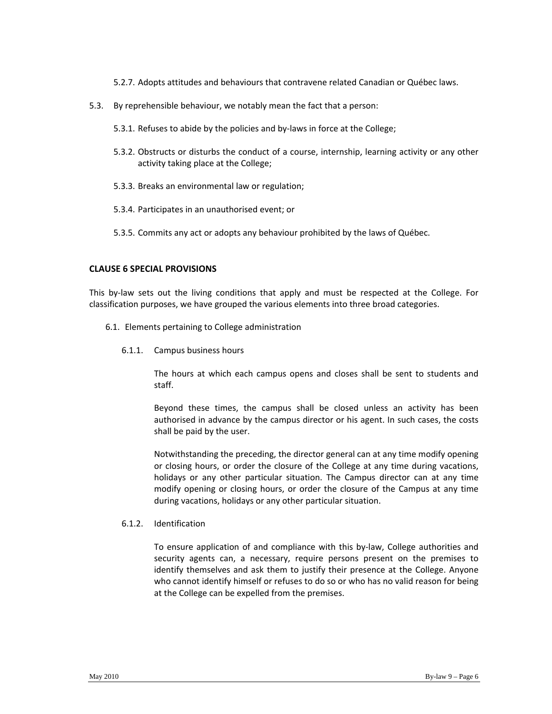- 5.2.7. Adopts attitudes and behaviours that contravene related Canadian or Québec laws.
- 5.3. By reprehensible behaviour, we notably mean the fact that a person:
	- 5.3.1. Refuses to abide by the policies and by-laws in force at the College;
	- 5.3.2. Obstructs or disturbs the conduct of a course, internship, learning activity or any other activity taking place at the College;
	- 5.3.3. Breaks an environmental law or regulation;
	- 5.3.4. Participates in an unauthorised event; or
	- 5.3.5. Commits any act or adopts any behaviour prohibited by the laws of Québec.

#### **CLAUSE 6 SPECIAL PROVISIONS**

This by-law sets out the living conditions that apply and must be respected at the College. For classification purposes, we have grouped the various elements into three broad categories.

- 6.1. Elements pertaining to College administration
	- 6.1.1. Campus business hours

The hours at which each campus opens and closes shall be sent to students and staff.

Beyond these times, the campus shall be closed unless an activity has been authorised in advance by the campus director or his agent. In such cases, the costs shall be paid by the user.

Notwithstanding the preceding, the director general can at any time modify opening or closing hours, or order the closure of the College at any time during vacations, holidays or any other particular situation. The Campus director can at any time modify opening or closing hours, or order the closure of the Campus at any time during vacations, holidays or any other particular situation.

#### 6.1.2. Identification

To ensure application of and compliance with this by‐law, College authorities and security agents can, a necessary, require persons present on the premises to identify themselves and ask them to justify their presence at the College. Anyone who cannot identify himself or refuses to do so or who has no valid reason for being at the College can be expelled from the premises.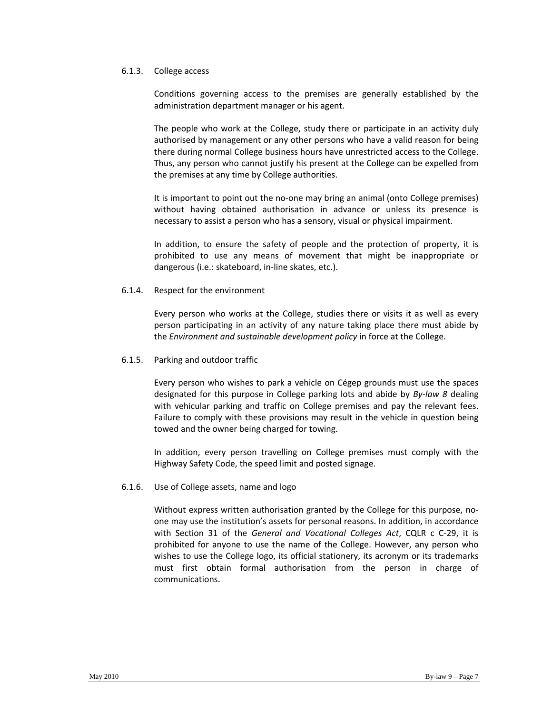#### 6.1.3. College access

Conditions governing access to the premises are generally established by the administration department manager or his agent.

The people who work at the College, study there or participate in an activity duly authorised by management or any other persons who have a valid reason for being there during normal College business hours have unrestricted access to the College. Thus, any person who cannot justify his present at the College can be expelled from the premises at any time by College authorities.

It is important to point out the no-one may bring an animal (onto College premises) without having obtained authorisation in advance or unless its presence is necessary to assist a person who has a sensory, visual or physical impairment.

In addition, to ensure the safety of people and the protection of property, it is prohibited to use any means of movement that might be inappropriate or dangerous (i.e.: skateboard, in‐line skates, etc.).

#### 6.1.4. Respect for the environment

Every person who works at the College, studies there or visits it as well as every person participating in an activity of any nature taking place there must abide by the *Environment and sustainable development policy* in force at the College.

#### 6.1.5. Parking and outdoor traffic

Every person who wishes to park a vehicle on Cégep grounds must use the spaces designated for this purpose in College parking lots and abide by *By‐law 8* dealing with vehicular parking and traffic on College premises and pay the relevant fees. Failure to comply with these provisions may result in the vehicle in question being towed and the owner being charged for towing.

In addition, every person travelling on College premises must comply with the Highway Safety Code, the speed limit and posted signage.

#### 6.1.6. Use of College assets, name and logo

Without express written authorisation granted by the College for this purpose, no‐ one may use the institution's assets for personal reasons. In addition, in accordance with Section 31 of the *General and Vocational Colleges Act*, CQLR c C‐29, it is prohibited for anyone to use the name of the College. However, any person who wishes to use the College logo, its official stationery, its acronym or its trademarks must first obtain formal authorisation from the person in charge of communications.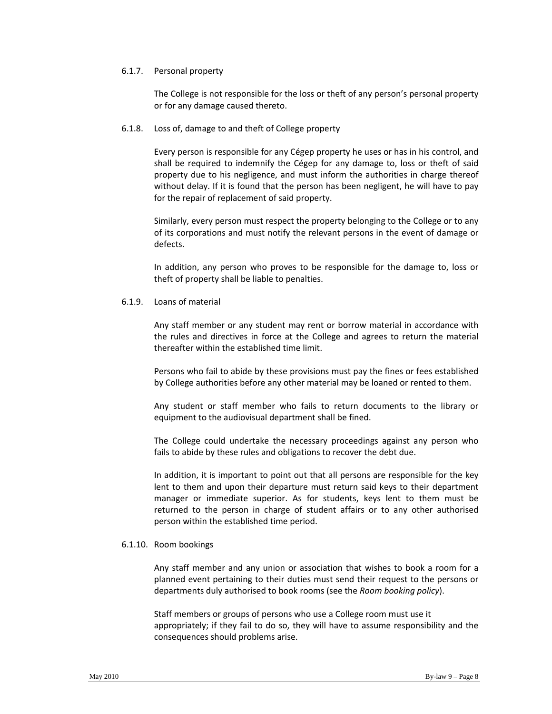#### 6.1.7. Personal property

The College is not responsible for the loss or theft of any person's personal property or for any damage caused thereto.

#### 6.1.8. Loss of, damage to and theft of College property

Every person is responsible for any Cégep property he uses or has in his control, and shall be required to indemnify the Cégep for any damage to, loss or theft of said property due to his negligence, and must inform the authorities in charge thereof without delay. If it is found that the person has been negligent, he will have to pay for the repair of replacement of said property.

Similarly, every person must respect the property belonging to the College or to any of its corporations and must notify the relevant persons in the event of damage or defects.

In addition, any person who proves to be responsible for the damage to, loss or theft of property shall be liable to penalties.

#### 6.1.9. Loans of material

Any staff member or any student may rent or borrow material in accordance with the rules and directives in force at the College and agrees to return the material thereafter within the established time limit.

Persons who fail to abide by these provisions must pay the fines or fees established by College authorities before any other material may be loaned or rented to them.

Any student or staff member who fails to return documents to the library or equipment to the audiovisual department shall be fined.

The College could undertake the necessary proceedings against any person who fails to abide by these rules and obligations to recover the debt due.

In addition, it is important to point out that all persons are responsible for the key lent to them and upon their departure must return said keys to their department manager or immediate superior. As for students, keys lent to them must be returned to the person in charge of student affairs or to any other authorised person within the established time period.

#### 6.1.10. Room bookings

Any staff member and any union or association that wishes to book a room for a planned event pertaining to their duties must send their request to the persons or departments duly authorised to book rooms (see the *Room booking policy*).

Staff members or groups of persons who use a College room must use it appropriately; if they fail to do so, they will have to assume responsibility and the consequences should problems arise.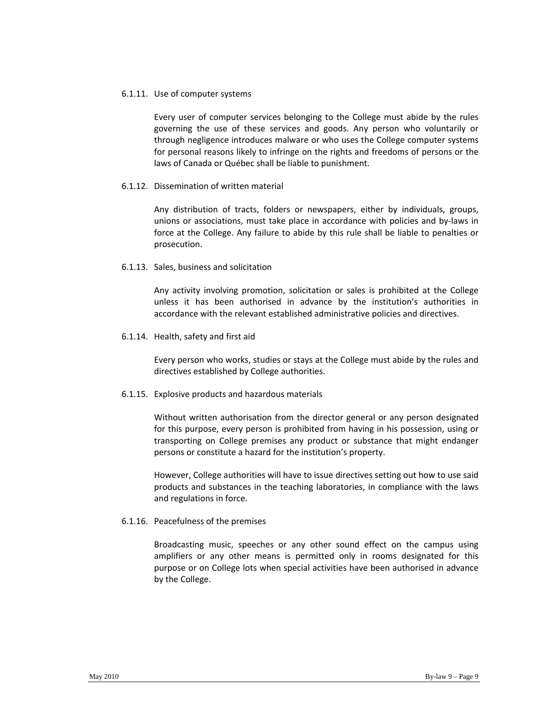#### 6.1.11. Use of computer systems

Every user of computer services belonging to the College must abide by the rules governing the use of these services and goods. Any person who voluntarily or through negligence introduces malware or who uses the College computer systems for personal reasons likely to infringe on the rights and freedoms of persons or the laws of Canada or Québec shall be liable to punishment.

#### 6.1.12. Dissemination of written material

Any distribution of tracts, folders or newspapers, either by individuals, groups, unions or associations, must take place in accordance with policies and by‐laws in force at the College. Any failure to abide by this rule shall be liable to penalties or prosecution.

#### 6.1.13. Sales, business and solicitation

Any activity involving promotion, solicitation or sales is prohibited at the College unless it has been authorised in advance by the institution's authorities in accordance with the relevant established administrative policies and directives.

#### 6.1.14. Health, safety and first aid

Every person who works, studies or stays at the College must abide by the rules and directives established by College authorities.

#### 6.1.15. Explosive products and hazardous materials

Without written authorisation from the director general or any person designated for this purpose, every person is prohibited from having in his possession, using or transporting on College premises any product or substance that might endanger persons or constitute a hazard for the institution's property.

However, College authorities will have to issue directives setting out how to use said products and substances in the teaching laboratories, in compliance with the laws and regulations in force.

#### 6.1.16. Peacefulness of the premises

Broadcasting music, speeches or any other sound effect on the campus using amplifiers or any other means is permitted only in rooms designated for this purpose or on College lots when special activities have been authorised in advance by the College.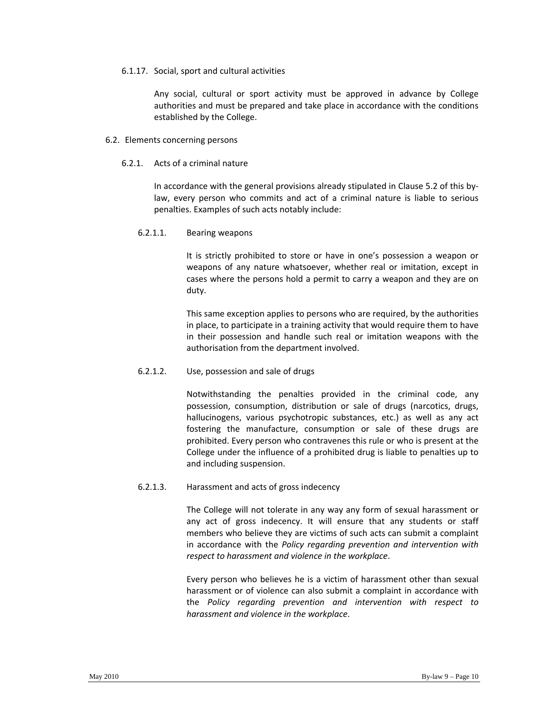#### 6.1.17. Social, sport and cultural activities

Any social, cultural or sport activity must be approved in advance by College authorities and must be prepared and take place in accordance with the conditions established by the College.

#### 6.2. Elements concerning persons

# 6.2.1. Acts of a criminal nature

In accordance with the general provisions already stipulated in Clause 5.2 of this by‐ law, every person who commits and act of a criminal nature is liable to serious penalties. Examples of such acts notably include:

#### 6.2.1.1. Bearing weapons

It is strictly prohibited to store or have in one's possession a weapon or weapons of any nature whatsoever, whether real or imitation, except in cases where the persons hold a permit to carry a weapon and they are on duty.

This same exception applies to persons who are required, by the authorities in place, to participate in a training activity that would require them to have in their possession and handle such real or imitation weapons with the authorisation from the department involved.

#### 6.2.1.2. Use, possession and sale of drugs

Notwithstanding the penalties provided in the criminal code, any possession, consumption, distribution or sale of drugs (narcotics, drugs, hallucinogens, various psychotropic substances, etc.) as well as any act fostering the manufacture, consumption or sale of these drugs are prohibited. Every person who contravenes this rule or who is present at the College under the influence of a prohibited drug is liable to penalties up to and including suspension.

### 6.2.1.3. Harassment and acts of gross indecency

The College will not tolerate in any way any form of sexual harassment or any act of gross indecency. It will ensure that any students or staff members who believe they are victims of such acts can submit a complaint in accordance with the *Policy regarding prevention and intervention with respect to harassment and violence in the workplace*.

Every person who believes he is a victim of harassment other than sexual harassment or of violence can also submit a complaint in accordance with the *Policy regarding prevention and intervention with respect to harassment and violence in the workplace*.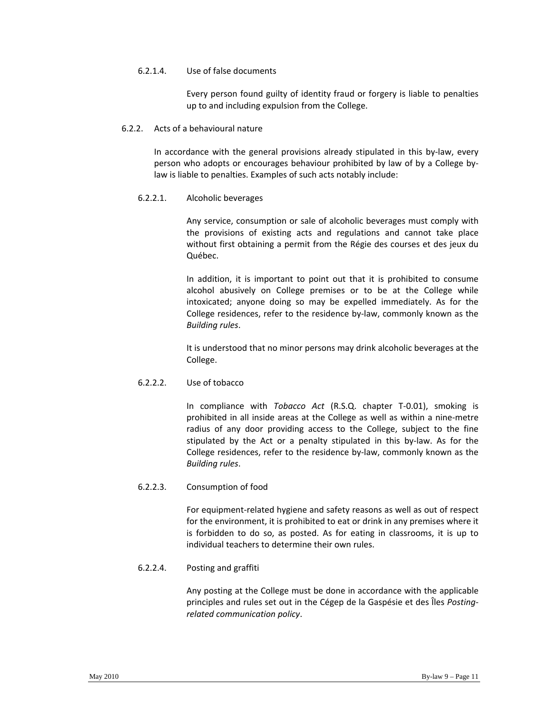# 6.2.1.4. Use of false documents

Every person found guilty of identity fraud or forgery is liable to penalties up to and including expulsion from the College.

#### 6.2.2. Acts of a behavioural nature

In accordance with the general provisions already stipulated in this by‐law, every person who adopts or encourages behaviour prohibited by law of by a College by‐ law is liable to penalties. Examples of such acts notably include:

# 6.2.2.1. Alcoholic beverages

Any service, consumption or sale of alcoholic beverages must comply with the provisions of existing acts and regulations and cannot take place without first obtaining a permit from the Régie des courses et des jeux du Québec.

In addition, it is important to point out that it is prohibited to consume alcohol abusively on College premises or to be at the College while intoxicated; anyone doing so may be expelled immediately. As for the College residences, refer to the residence by‐law, commonly known as the *Building rules*.

It is understood that no minor persons may drink alcoholic beverages at the College.

# 6.2.2.2. Use of tobacco

In compliance with *Tobacco Act* (R.S.Q. chapter T‐0.01), smoking is prohibited in all inside areas at the College as well as within a nine‐metre radius of any door providing access to the College, subject to the fine stipulated by the Act or a penalty stipulated in this by‐law. As for the College residences, refer to the residence by‐law, commonly known as the *Building rules*.

# 6.2.2.3. Consumption of food

For equipment‐related hygiene and safety reasons as well as out of respect for the environment, it is prohibited to eat or drink in any premises where it is forbidden to do so, as posted. As for eating in classrooms, it is up to individual teachers to determine their own rules.

# 6.2.2.4. Posting and graffiti

Any posting at the College must be done in accordance with the applicable principles and rules set out in the Cégep de la Gaspésie et des Îles *Posting‐ related communication policy*.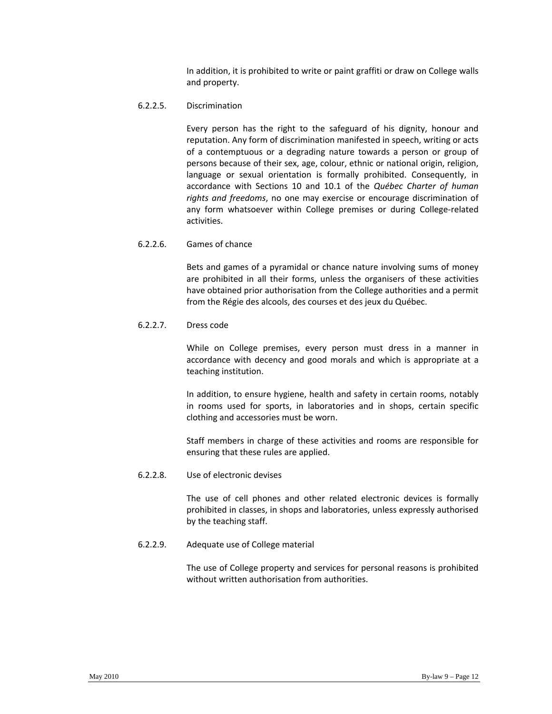In addition, it is prohibited to write or paint graffiti or draw on College walls and property.

# 6.2.2.5. Discrimination

Every person has the right to the safeguard of his dignity, honour and reputation. Any form of discrimination manifested in speech, writing or acts of a contemptuous or a degrading nature towards a person or group of persons because of their sex, age, colour, ethnic or national origin, religion, language or sexual orientation is formally prohibited. Consequently, in accordance with Sections 10 and 10.1 of the *Québec Charter of human rights and freedoms*, no one may exercise or encourage discrimination of any form whatsoever within College premises or during College-related activities.

# 6.2.2.6. Games of chance

Bets and games of a pyramidal or chance nature involving sums of money are prohibited in all their forms, unless the organisers of these activities have obtained prior authorisation from the College authorities and a permit from the Régie des alcools, des courses et des jeux du Québec.

# 6.2.2.7. Dress code

While on College premises, every person must dress in a manner in accordance with decency and good morals and which is appropriate at a teaching institution.

In addition, to ensure hygiene, health and safety in certain rooms, notably in rooms used for sports, in laboratories and in shops, certain specific clothing and accessories must be worn.

Staff members in charge of these activities and rooms are responsible for ensuring that these rules are applied.

#### 6.2.2.8. Use of electronic devises

The use of cell phones and other related electronic devices is formally prohibited in classes, in shops and laboratories, unless expressly authorised by the teaching staff.

# 6.2.2.9. Adequate use of College material

The use of College property and services for personal reasons is prohibited without written authorisation from authorities.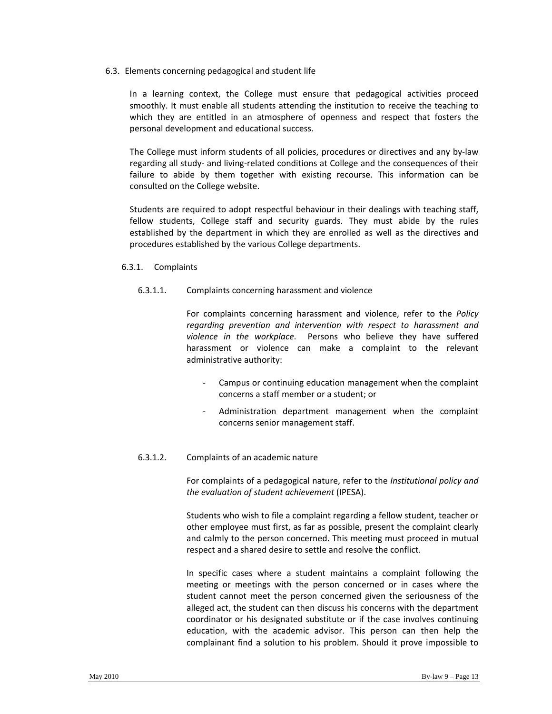6.3. Elements concerning pedagogical and student life

In a learning context, the College must ensure that pedagogical activities proceed smoothly. It must enable all students attending the institution to receive the teaching to which they are entitled in an atmosphere of openness and respect that fosters the personal development and educational success.

The College must inform students of all policies, procedures or directives and any by-law regarding all study‐ and living‐related conditions at College and the consequences of their failure to abide by them together with existing recourse. This information can be consulted on the College website.

Students are required to adopt respectful behaviour in their dealings with teaching staff, fellow students, College staff and security guards. They must abide by the rules established by the department in which they are enrolled as well as the directives and procedures established by the various College departments.

#### 6.3.1. Complaints

# 6.3.1.1. Complaints concerning harassment and violence

For complaints concerning harassment and violence, refer to the *Policy regarding prevention and intervention with respect to harassment and violence in the workplace*. Persons who believe they have suffered harassment or violence can make a complaint to the relevant administrative authority:

- ‐ Campus or continuing education management when the complaint concerns a staff member or a student; or
- ‐ Administration department management when the complaint concerns senior management staff.

#### 6.3.1.2. Complaints of an academic nature

For complaints of a pedagogical nature, refer to the *Institutional policy and the evaluation of student achievement* (IPESA).

Students who wish to file a complaint regarding a fellow student, teacher or other employee must first, as far as possible, present the complaint clearly and calmly to the person concerned. This meeting must proceed in mutual respect and a shared desire to settle and resolve the conflict.

In specific cases where a student maintains a complaint following the meeting or meetings with the person concerned or in cases where the student cannot meet the person concerned given the seriousness of the alleged act, the student can then discuss his concerns with the department coordinator or his designated substitute or if the case involves continuing education, with the academic advisor. This person can then help the complainant find a solution to his problem. Should it prove impossible to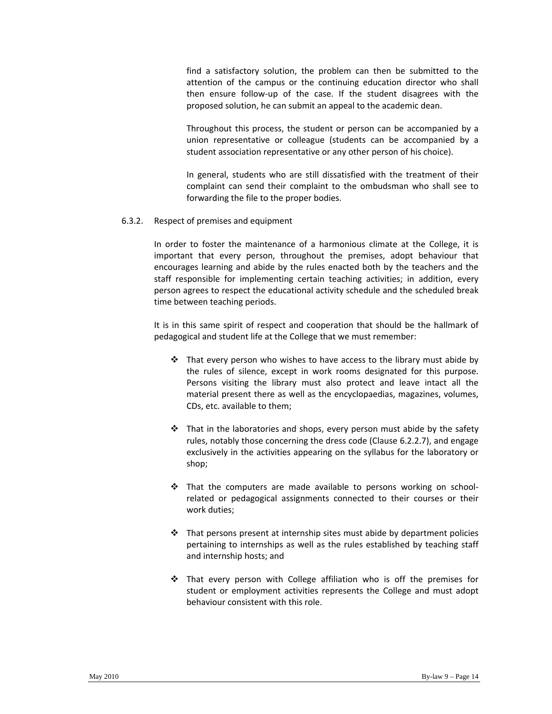find a satisfactory solution, the problem can then be submitted to the attention of the campus or the continuing education director who shall then ensure follow‐up of the case. If the student disagrees with the proposed solution, he can submit an appeal to the academic dean.

Throughout this process, the student or person can be accompanied by a union representative or colleague (students can be accompanied by a student association representative or any other person of his choice).

In general, students who are still dissatisfied with the treatment of their complaint can send their complaint to the ombudsman who shall see to forwarding the file to the proper bodies.

#### 6.3.2. Respect of premises and equipment

In order to foster the maintenance of a harmonious climate at the College, it is important that every person, throughout the premises, adopt behaviour that encourages learning and abide by the rules enacted both by the teachers and the staff responsible for implementing certain teaching activities; in addition, every person agrees to respect the educational activity schedule and the scheduled break time between teaching periods.

It is in this same spirit of respect and cooperation that should be the hallmark of pedagogical and student life at the College that we must remember:

- $\mathbf{\hat{P}}$  That every person who wishes to have access to the library must abide by the rules of silence, except in work rooms designated for this purpose. Persons visiting the library must also protect and leave intact all the material present there as well as the encyclopaedias, magazines, volumes, CDs, etc. available to them;
- $\div$  That in the laboratories and shops, every person must abide by the safety rules, notably those concerning the dress code (Clause 6.2.2.7), and engage exclusively in the activities appearing on the syllabus for the laboratory or shop;
- ◆ That the computers are made available to persons working on schoolrelated or pedagogical assignments connected to their courses or their work duties;
- $\div$  That persons present at internship sites must abide by department policies pertaining to internships as well as the rules established by teaching staff and internship hosts; and
- \* That every person with College affiliation who is off the premises for student or employment activities represents the College and must adopt behaviour consistent with this role.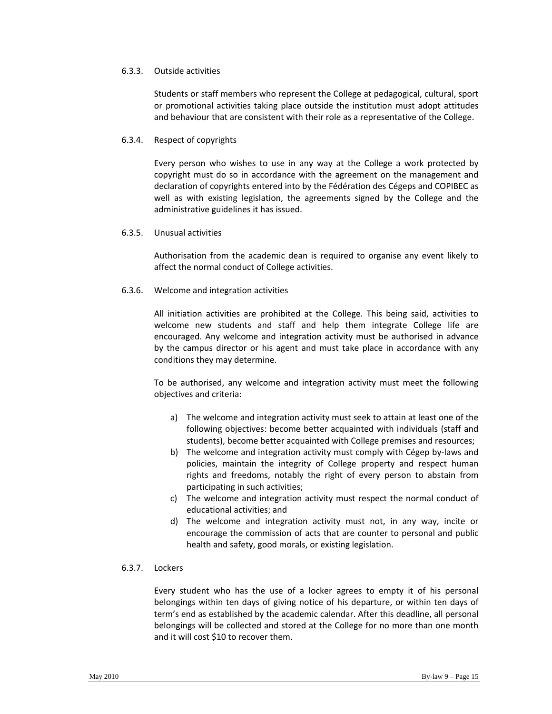#### 6.3.3. Outside activities

Students or staff members who represent the College at pedagogical, cultural, sport or promotional activities taking place outside the institution must adopt attitudes and behaviour that are consistent with their role as a representative of the College.

#### 6.3.4. Respect of copyrights

Every person who wishes to use in any way at the College a work protected by copyright must do so in accordance with the agreement on the management and declaration of copyrights entered into by the Fédération des Cégeps and COPIBEC as well as with existing legislation, the agreements signed by the College and the administrative guidelines it has issued.

#### 6.3.5. Unusual activities

Authorisation from the academic dean is required to organise any event likely to affect the normal conduct of College activities.

#### 6.3.6. Welcome and integration activities

All initiation activities are prohibited at the College. This being said, activities to welcome new students and staff and help them integrate College life are encouraged. Any welcome and integration activity must be authorised in advance by the campus director or his agent and must take place in accordance with any conditions they may determine.

To be authorised, any welcome and integration activity must meet the following objectives and criteria:

- a) The welcome and integration activity must seek to attain at least one of the following objectives: become better acquainted with individuals (staff and students), become better acquainted with College premises and resources;
- b) The welcome and integration activity must comply with Cégep by‐laws and policies, maintain the integrity of College property and respect human rights and freedoms, notably the right of every person to abstain from participating in such activities;
- c) The welcome and integration activity must respect the normal conduct of educational activities; and
- d) The welcome and integration activity must not, in any way, incite or encourage the commission of acts that are counter to personal and public health and safety, good morals, or existing legislation.

# 6.3.7. Lockers

Every student who has the use of a locker agrees to empty it of his personal belongings within ten days of giving notice of his departure, or within ten days of term's end as established by the academic calendar. After this deadline, all personal belongings will be collected and stored at the College for no more than one month and it will cost \$10 to recover them.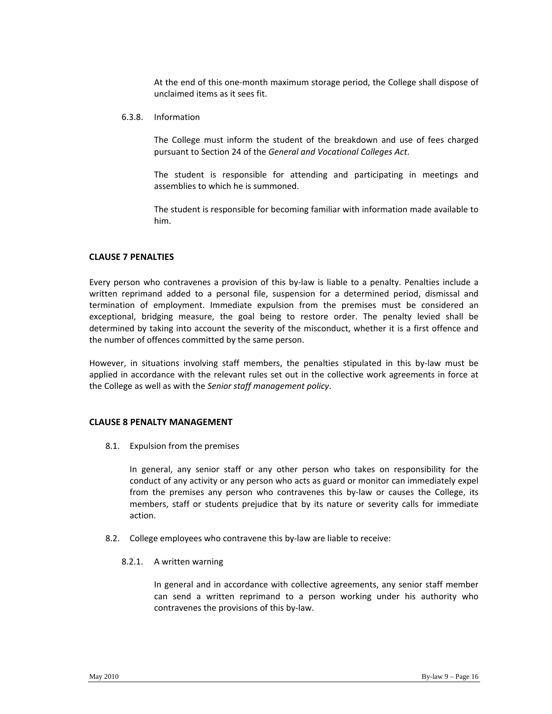At the end of this one‐month maximum storage period, the College shall dispose of unclaimed items as it sees fit.

#### 6.3.8. Information

The College must inform the student of the breakdown and use of fees charged pursuant to Section 24 of the *General and Vocational Colleges Act*.

The student is responsible for attending and participating in meetings and assemblies to which he is summoned.

The student is responsible for becoming familiar with information made available to him.

#### **CLAUSE 7 PENALTIES**

Every person who contravenes a provision of this by-law is liable to a penalty. Penalties include a written reprimand added to a personal file, suspension for a determined period, dismissal and termination of employment. Immediate expulsion from the premises must be considered an exceptional, bridging measure, the goal being to restore order. The penalty levied shall be determined by taking into account the severity of the misconduct, whether it is a first offence and the number of offences committed by the same person.

However, in situations involving staff members, the penalties stipulated in this by-law must be applied in accordance with the relevant rules set out in the collective work agreements in force at the College as well as with the *Senior staff management policy*.

#### **CLAUSE 8 PENALTY MANAGEMENT**

8.1. Expulsion from the premises

In general, any senior staff or any other person who takes on responsibility for the conduct of any activity or any person who acts as guard or monitor can immediately expel from the premises any person who contravenes this by-law or causes the College, its members, staff or students prejudice that by its nature or severity calls for immediate action.

8.2. College employees who contravene this by-law are liable to receive:

#### 8.2.1. A written warning

In general and in accordance with collective agreements, any senior staff member can send a written reprimand to a person working under his authority who contravenes the provisions of this by‐law.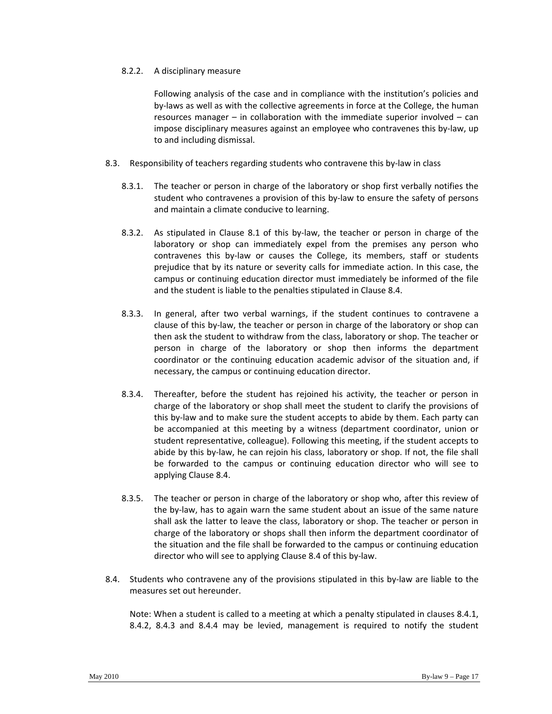#### 8.2.2. A disciplinary measure

Following analysis of the case and in compliance with the institution's policies and by-laws as well as with the collective agreements in force at the College, the human resources manager – in collaboration with the immediate superior involved – can impose disciplinary measures against an employee who contravenes this by‐law, up to and including dismissal.

- 8.3. Responsibility of teachers regarding students who contravene this by‐law in class
	- 8.3.1. The teacher or person in charge of the laboratory or shop first verbally notifies the student who contravenes a provision of this by‐law to ensure the safety of persons and maintain a climate conducive to learning.
	- 8.3.2. As stipulated in Clause 8.1 of this by‐law, the teacher or person in charge of the laboratory or shop can immediately expel from the premises any person who contravenes this by‐law or causes the College, its members, staff or students prejudice that by its nature or severity calls for immediate action. In this case, the campus or continuing education director must immediately be informed of the file and the student is liable to the penalties stipulated in Clause 8.4.
	- 8.3.3. In general, after two verbal warnings, if the student continues to contravene a clause of this by‐law, the teacher or person in charge of the laboratory or shop can then ask the student to withdraw from the class, laboratory or shop. The teacher or person in charge of the laboratory or shop then informs the department coordinator or the continuing education academic advisor of the situation and, if necessary, the campus or continuing education director.
	- 8.3.4. Thereafter, before the student has rejoined his activity, the teacher or person in charge of the laboratory or shop shall meet the student to clarify the provisions of this by-law and to make sure the student accepts to abide by them. Each party can be accompanied at this meeting by a witness (department coordinator, union or student representative, colleague). Following this meeting, if the student accepts to abide by this by‐law, he can rejoin his class, laboratory or shop. If not, the file shall be forwarded to the campus or continuing education director who will see to applying Clause 8.4.
	- 8.3.5. The teacher or person in charge of the laboratory or shop who, after this review of the by‐law, has to again warn the same student about an issue of the same nature shall ask the latter to leave the class, laboratory or shop. The teacher or person in charge of the laboratory or shops shall then inform the department coordinator of the situation and the file shall be forwarded to the campus or continuing education director who will see to applying Clause 8.4 of this by‐law.
- 8.4. Students who contravene any of the provisions stipulated in this by-law are liable to the measures set out hereunder.

Note: When a student is called to a meeting at which a penalty stipulated in clauses 8.4.1, 8.4.2, 8.4.3 and 8.4.4 may be levied, management is required to notify the student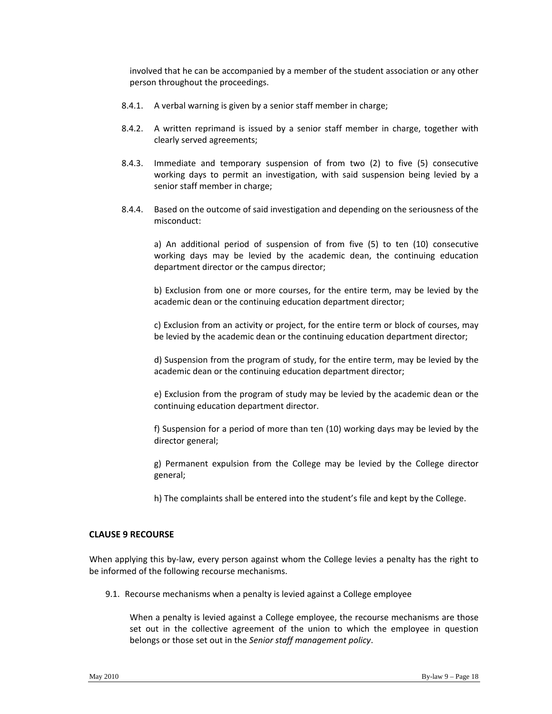involved that he can be accompanied by a member of the student association or any other person throughout the proceedings.

- 8.4.1. A verbal warning is given by a senior staff member in charge;
- 8.4.2. A written reprimand is issued by a senior staff member in charge, together with clearly served agreements;
- 8.4.3. Immediate and temporary suspension of from two (2) to five (5) consecutive working days to permit an investigation, with said suspension being levied by a senior staff member in charge;
- 8.4.4. Based on the outcome of said investigation and depending on the seriousness of the misconduct:

a) An additional period of suspension of from five (5) to ten (10) consecutive working days may be levied by the academic dean, the continuing education department director or the campus director;

b) Exclusion from one or more courses, for the entire term, may be levied by the academic dean or the continuing education department director;

c) Exclusion from an activity or project, for the entire term or block of courses, may be levied by the academic dean or the continuing education department director;

d) Suspension from the program of study, for the entire term, may be levied by the academic dean or the continuing education department director;

e) Exclusion from the program of study may be levied by the academic dean or the continuing education department director.

f) Suspension for a period of more than ten (10) working days may be levied by the director general;

g) Permanent expulsion from the College may be levied by the College director general;

h) The complaints shall be entered into the student's file and kept by the College.

#### **CLAUSE 9 RECOURSE**

When applying this by-law, every person against whom the College levies a penalty has the right to be informed of the following recourse mechanisms.

9.1. Recourse mechanisms when a penalty is levied against a College employee

When a penalty is levied against a College employee, the recourse mechanisms are those set out in the collective agreement of the union to which the employee in question belongs or those set out in the *Senior staff management policy*.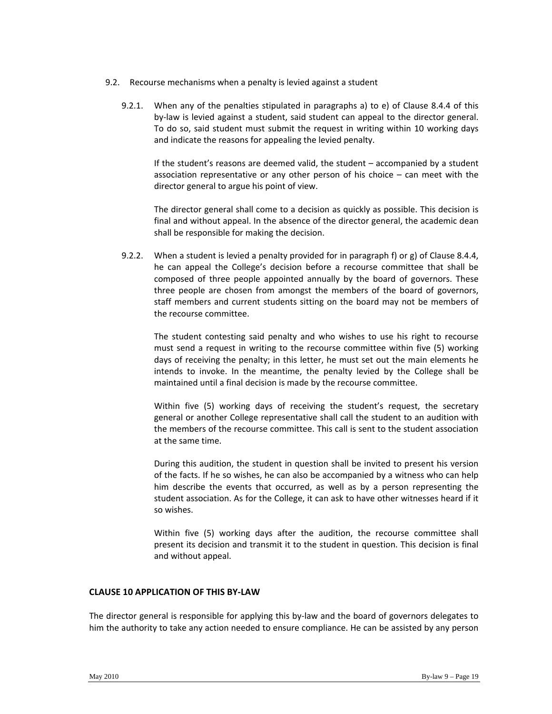- 9.2. Recourse mechanisms when a penalty is levied against a student
	- 9.2.1. When any of the penalties stipulated in paragraphs a) to e) of Clause 8.4.4 of this by-law is levied against a student, said student can appeal to the director general. To do so, said student must submit the request in writing within 10 working days and indicate the reasons for appealing the levied penalty.

If the student's reasons are deemed valid, the student – accompanied by a student association representative or any other person of his choice – can meet with the director general to argue his point of view.

The director general shall come to a decision as quickly as possible. This decision is final and without appeal. In the absence of the director general, the academic dean shall be responsible for making the decision.

9.2.2. When a student is levied a penalty provided for in paragraph f) or g) of Clause 8.4.4, he can appeal the College's decision before a recourse committee that shall be composed of three people appointed annually by the board of governors. These three people are chosen from amongst the members of the board of governors, staff members and current students sitting on the board may not be members of the recourse committee.

The student contesting said penalty and who wishes to use his right to recourse must send a request in writing to the recourse committee within five (5) working days of receiving the penalty; in this letter, he must set out the main elements he intends to invoke. In the meantime, the penalty levied by the College shall be maintained until a final decision is made by the recourse committee.

Within five (5) working days of receiving the student's request, the secretary general or another College representative shall call the student to an audition with the members of the recourse committee. This call is sent to the student association at the same time.

During this audition, the student in question shall be invited to present his version of the facts. If he so wishes, he can also be accompanied by a witness who can help him describe the events that occurred, as well as by a person representing the student association. As for the College, it can ask to have other witnesses heard if it so wishes.

Within five (5) working days after the audition, the recourse committee shall present its decision and transmit it to the student in question. This decision is final and without appeal.

#### **CLAUSE 10 APPLICATION OF THIS BY‐LAW**

The director general is responsible for applying this by-law and the board of governors delegates to him the authority to take any action needed to ensure compliance. He can be assisted by any person